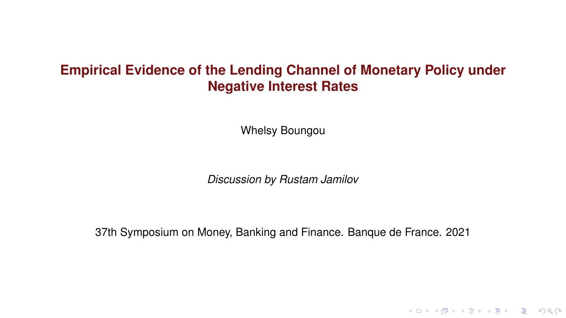# **Empirical Evidence of the Lending Channel of Monetary Policy under Negative Interest Rates**

Whelsy Boungou

*Discussion by Rustam Jamilov*

37th Symposium on Money, Banking and Finance. Banque de France. 2021

KID KAR KE KAEK E 1990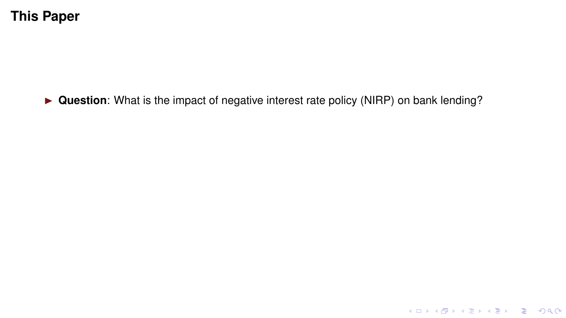▶ **Question**: What is the impact of negative interest rate policy (NIRP) on bank lending?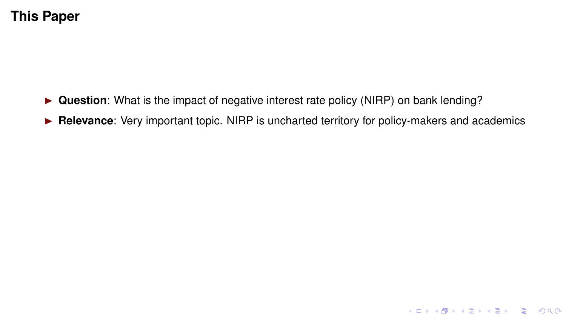- ► Question: What is the impact of negative interest rate policy (NIRP) on bank lending?
- **E Relevance**: Very important topic. NIRP is uncharted territory for policy-makers and academics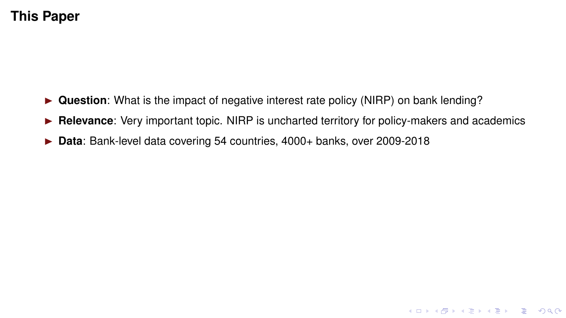- ► **Question**: What is the impact of negative interest rate policy (NIRP) on bank lending?
- **► Relevance:** Very important topic. NIRP is uncharted territory for policy-makers and academics

**KID X 4 @ X X 暑 X X 暑 X → 暑 → 9 Q Q →** 

▶ **Data**: Bank-level data covering 54 countries, 4000+ banks, over 2009-2018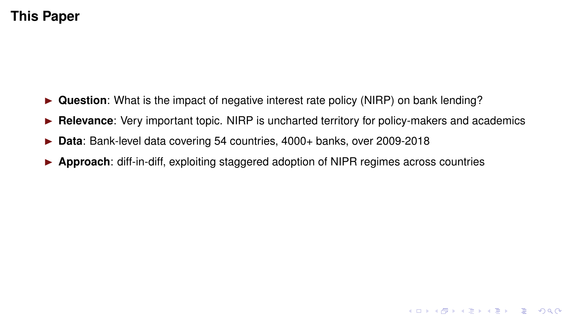- ► **Question**: What is the impact of negative interest rate policy (NIRP) on bank lending?
- **► Relevance:** Very important topic. NIRP is uncharted territory for policy-makers and academics

**KID X 4 @ X X 暑 X X 暑 X → 暑 → 9 Q Q →** 

- **É Data**: Bank-level data covering 54 countries, 4000+ banks, over 2009-2018
- **► Approach:** diff-in-diff, exploiting staggered adoption of NIPR regimes across countries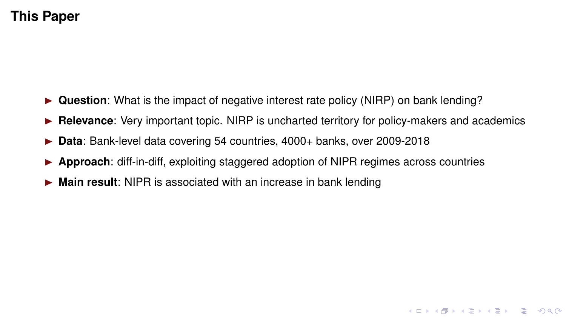- ► **Question**: What is the impact of negative interest rate policy (NIRP) on bank lending?
- **► Relevance:** Very important topic. NIRP is uncharted territory for policy-makers and academics
- **É Data**: Bank-level data covering 54 countries, 4000+ banks, over 2009-2018
- **► Approach:** diff-in-diff, exploiting staggered adoption of NIPR regimes across countries
- ► Main result: NIPR is associated with an increase in bank lending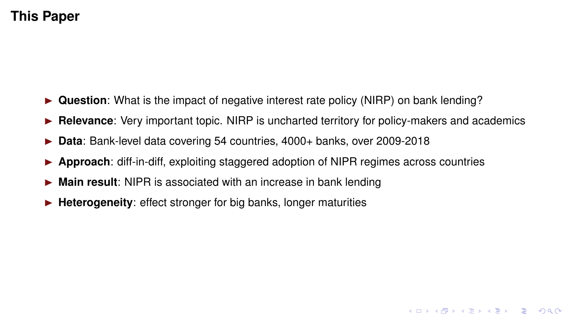- ► Question: What is the impact of negative interest rate policy (NIRP) on bank lending?
- **Relevance:** Very important topic. NIRP is uncharted territory for policy-makers and academics

**KID X 4 @ X X 暑 X X 暑 X → 暑 → 9 Q Q →** 

- **É Data**: Bank-level data covering 54 countries, 4000+ banks, over 2009-2018
- **► Approach:** diff-in-diff, exploiting staggered adoption of NIPR regimes across countries
- ► Main result: NIPR is associated with an increase in bank lending
- ► **Heterogeneity**: effect stronger for big banks, longer maturities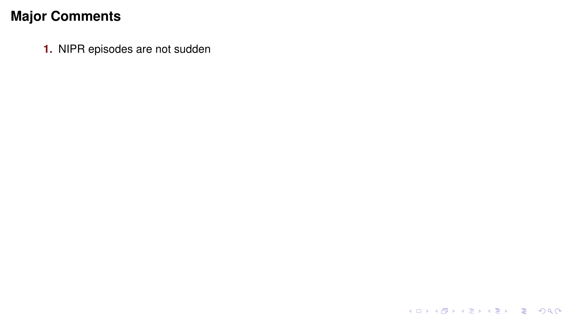**1.** NIPR episodes are not sudden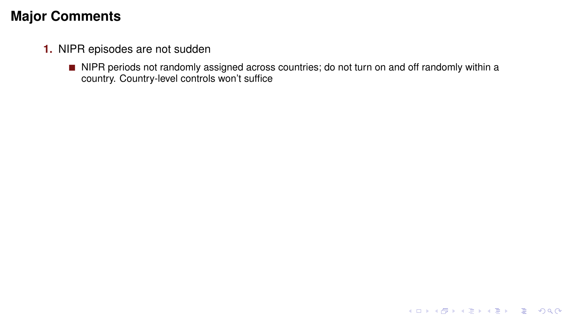- **1.** NIPR episodes are not sudden
	- NIPR periods not randomly assigned across countries; do not turn on and off randomly within a country. Country-level controls won't suffice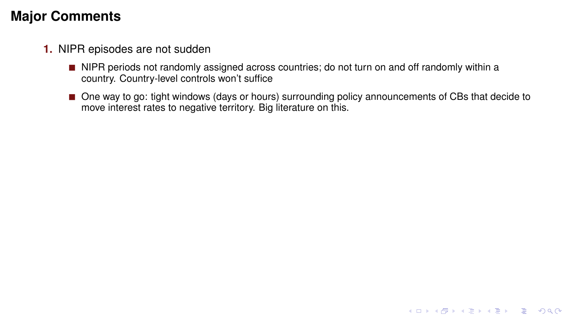- **1.** NIPR episodes are not sudden
	- NIPR periods not randomly assigned across countries; do not turn on and off randomly within a country. Country-level controls won't suffice
	- One way to go: tight windows (days or hours) surrounding policy announcements of CBs that decide to move interest rates to negative territory. Big literature on this.

K ロ ▶ K @ ▶ K 할 > K 할 > 1 할 > 9 Q Q\*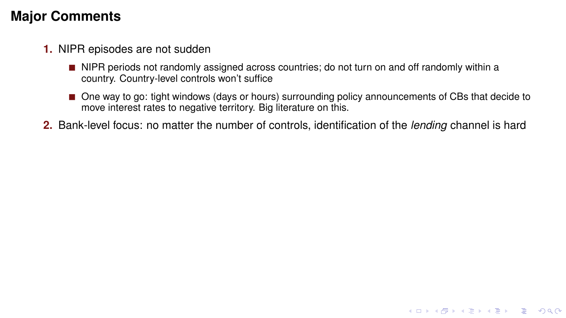- **1.** NIPR episodes are not sudden
	- NIPR periods not randomly assigned across countries; do not turn on and off randomly within a country. Country-level controls won't suffice
	- One way to go: tight windows (days or hours) surrounding policy announcements of CBs that decide to move interest rates to negative territory. Big literature on this.

**KO KARK KEK (EK SARA)** 

**2.** Bank-level focus: no matter the number of controls, identification of the *lending* channel is hard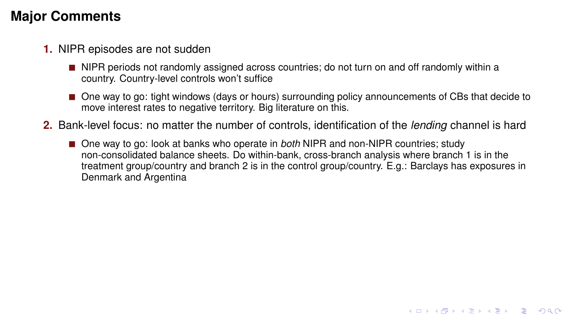- **1.** NIPR episodes are not sudden
	- NIPR periods not randomly assigned across countries; do not turn on and off randomly within a country. Country-level controls won't suffice
	- One way to go: tight windows (days or hours) surrounding policy announcements of CBs that decide to move interest rates to negative territory. Big literature on this.
- **2.** Bank-level focus: no matter the number of controls, identification of the *lending* channel is hard
	- One way to go: look at banks who operate in *both* NIPR and non-NIPR countries; study non-consolidated balance sheets. Do within-bank, cross-branch analysis where branch 1 is in the treatment group/country and branch 2 is in the control group/country. E.g.: Barclays has exposures in Denmark and Argentina

**KO KARK KEK (EK SARA)**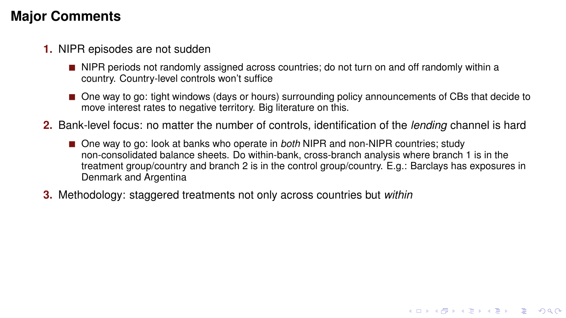- **1.** NIPR episodes are not sudden
	- NIPR periods not randomly assigned across countries; do not turn on and off randomly within a country. Country-level controls won't suffice
	- One way to go: tight windows (days or hours) surrounding policy announcements of CBs that decide to move interest rates to negative territory. Big literature on this.
- **2.** Bank-level focus: no matter the number of controls, identification of the *lending* channel is hard
	- One way to go: look at banks who operate in *both* NIPR and non-NIPR countries; study non-consolidated balance sheets. Do within-bank, cross-branch analysis where branch 1 is in the treatment group/country and branch 2 is in the control group/country. E.g.: Barclays has exposures in Denmark and Argentina

**KORK EX KEY OR ABY** 

**3.** Methodology: staggered treatments not only across countries but *within*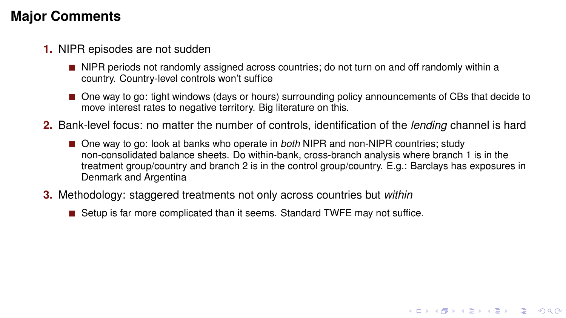- **1.** NIPR episodes are not sudden
	- NIPR periods not randomly assigned across countries; do not turn on and off randomly within a country. Country-level controls won't suffice
	- One way to go: tight windows (days or hours) surrounding policy announcements of CBs that decide to move interest rates to negative territory. Big literature on this.
- **2.** Bank-level focus: no matter the number of controls, identification of the *lending* channel is hard
	- One way to go: look at banks who operate in *both* NIPR and non-NIPR countries; study non-consolidated balance sheets. Do within-bank, cross-branch analysis where branch 1 is in the treatment group/country and branch 2 is in the control group/country. E.g.: Barclays has exposures in Denmark and Argentina

**KORK EX KEY OR ABY** 

- **3.** Methodology: staggered treatments not only across countries but *within*
	- Setup is far more complicated than it seems. Standard TWFE may not suffice.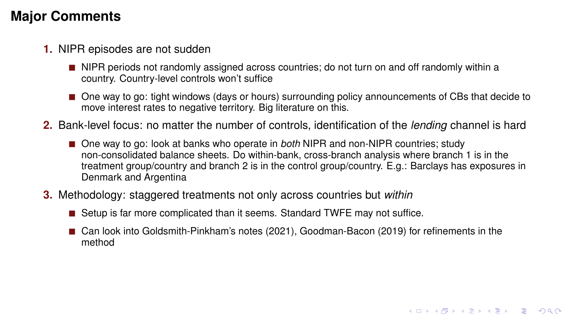- **1.** NIPR episodes are not sudden
	- NIPR periods not randomly assigned across countries; do not turn on and off randomly within a country. Country-level controls won't suffice
	- One way to go: tight windows (days or hours) surrounding policy announcements of CBs that decide to move interest rates to negative territory. Big literature on this.
- **2.** Bank-level focus: no matter the number of controls, identification of the *lending* channel is hard
	- One way to go: look at banks who operate in *both* NIPR and non-NIPR countries; study non-consolidated balance sheets. Do within-bank, cross-branch analysis where branch 1 is in the treatment group/country and branch 2 is in the control group/country. E.g.: Barclays has exposures in Denmark and Argentina
- **3.** Methodology: staggered treatments not only across countries but *within*
	- Setup is far more complicated than it seems. Standard TWFE may not suffice.
	- Can look into Goldsmith-Pinkham's notes (2021), Goodman-Bacon (2019) for refinements in the method

**KORK EX KEY OR ABY**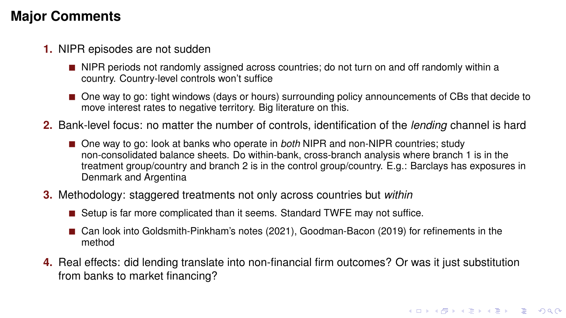- **1.** NIPR episodes are not sudden
	- NIPR periods not randomly assigned across countries; do not turn on and off randomly within a country. Country-level controls won't suffice
	- One way to go: tight windows (days or hours) surrounding policy announcements of CBs that decide to move interest rates to negative territory. Big literature on this.
- **2.** Bank-level focus: no matter the number of controls, identification of the *lending* channel is hard
	- One way to go: look at banks who operate in *both* NIPR and non-NIPR countries; study non-consolidated balance sheets. Do within-bank, cross-branch analysis where branch 1 is in the treatment group/country and branch 2 is in the control group/country. E.g.: Barclays has exposures in Denmark and Argentina
- **3.** Methodology: staggered treatments not only across countries but *within*
	- Setup is far more complicated than it seems. Standard TWFE may not suffice.
	- Can look into Goldsmith-Pinkham's notes (2021), Goodman-Bacon (2019) for refinements in the method
- **4.** Real effects: did lending translate into non-financial firm outcomes? Or was it just substitution from banks to market financing?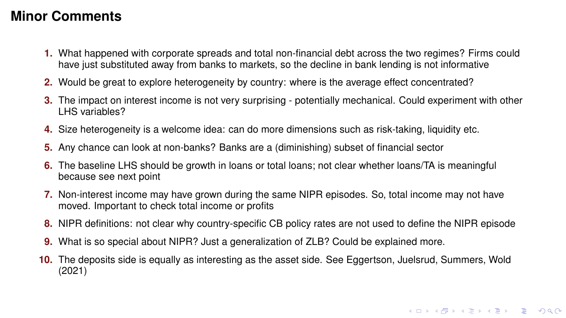### **Minor Comments**

- **1.** What happened with corporate spreads and total non-financial debt across the two regimes? Firms could have just substituted away from banks to markets, so the decline in bank lending is not informative
- **2.** Would be great to explore heterogeneity by country: where is the average effect concentrated?
- **3.** The impact on interest income is not very surprising potentially mechanical. Could experiment with other LHS variables?
- **4.** Size heterogeneity is a welcome idea: can do more dimensions such as risk-taking, liquidity etc.
- **5.** Any chance can look at non-banks? Banks are a (diminishing) subset of financial sector
- **6.** The baseline LHS should be growth in loans or total loans; not clear whether loans/TA is meaningful because see next point
- **7.** Non-interest income may have grown during the same NIPR episodes. So, total income may not have moved. Important to check total income or profits
- **8.** NIPR definitions: not clear why country-specific CB policy rates are not used to define the NIPR episode
- **9.** What is so special about NIPR? Just a generalization of ZLB? Could be explained more.
- **10.** The deposits side is equally as interesting as the asset side. See Eggertson, Juelsrud, Summers, Wold (2021)